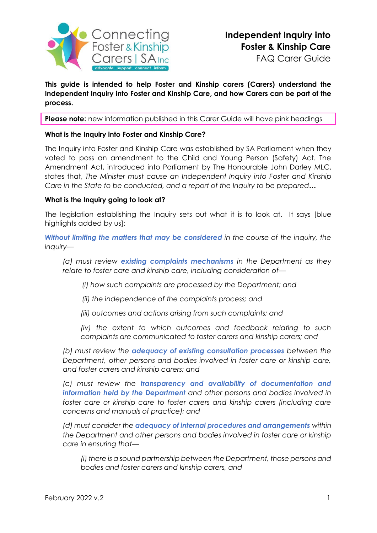

**This guide is intended to help Foster and Kinship carers (Carers) understand the Independent Inquiry into Foster and Kinship Care, and how Carers can be part of the process.** 

**Please note:** new information published in this Carer Guide will have pink headings

### **What is the Inquiry into Foster and Kinship Care?**

The Inquiry into Foster and Kinship Care was established by SA Parliament when they voted to pass an amendment to the Child and Young Person (Safety) Act. The [Amendment](https://www.legislation.sa.gov.au/__legislation/lz/b/current/children%20and%20young%20people%20(safety)%20(inquiry%20into%20foster%20and%20kinship%20care)%20amendment%20bill%202021_hon%20john%20darley%20mlc/b_as%20passed%20lc/children%20care%20amendment%20bill%202021.un.pdf) Act, introduced into Parliament by The Honourable John Darley MLC, states that, *The Minister must cause an Independent Inquiry into Foster and Kinship Care in the State to be conducted, and a report of the Inquiry to be prepared***…**

### **What is the Inquiry going to look at?**

The legislation establishing the Inquiry sets out what it is to look at. It says [blue highlights added by us]:

*Without limiting the matters that may be considered in the course of the inquiry, the inquiry—*

*(a) must review existing complaints mechanisms in the Department as they relate to foster care and kinship care, including consideration of—*

 *(i) how such complaints are processed by the Department; and* 

 *(ii) the independence of the complaints process; and* 

*(iii) outcomes and actions arising from such complaints; and* 

*(iv) the extent to which outcomes and feedback relating to such complaints are communicated to foster carers and kinship carers; and* 

*(b) must review the adequacy of existing consultation processes between the Department, other persons and bodies involved in foster care or kinship care, and foster carers and kinship carers; and* 

*(c) must review the transparency and availability of documentation and information held by the Department and other persons and bodies involved in*  foster care or kinship care to foster carers and kinship carers (including care *concerns and manuals of practice); and* 

*(d) must consider the adequacy of internal procedures and arrangements within the Department and other persons and bodies involved in foster care or kinship care in ensuring that—*

*(i) there is a sound partnership between the Department, those persons and bodies and foster carers and kinship carers, and*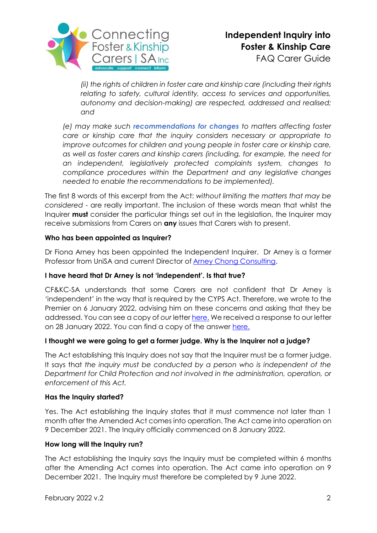

*(ii) the rights of children in foster care and kinship care (including their rights relating to safety, cultural identity, access to services and opportunities, autonomy and decision-making) are respected, addressed and realised; and* 

*(e) may make such recommendations for changes to matters affecting foster care or kinship care that the inquiry considers necessary or appropriate to improve outcomes for children and young people in foster care or kinship care, as well as foster carers and kinship carers (including, for example, the need for an independent, legislatively protected complaints system, changes to compliance procedures within the Department and any legislative changes needed to enable the recommendations to be implemented).*

The first 8 words of this excerpt from the Act: *without limiting the matters that may be considered* - are really important. The inclusion of these words mean that whilst the Inquirer **must** consider the particular things set out in the legislation, the Inquirer may receive submissions from Carers on **any** issues that Carers wish to present.

## **Who has been appointed as Inquirer?**

Dr Fiona Arney has been appointed the Independent Inquirer. Dr Arney is a former Professor from UniSA and current Director of [Arney Chong Consulting.](https://arneychongconsulting.com/)

## **I have heard that Dr Arney is not 'independent'. Is that true?**

CF&KC-SA understands that some Carers are not confident that Dr Arney is 'independent' in the way that is required by the CYPS Act. Therefore, we wrote to the Premier on 6 January 2022, advising him on these concerns and asking that they be addressed. You can see a copy of *our* letter [here.](https://cfc-sa.org.au/wp-content/uploads/2022/02/CFKC_SA-Letter-to-Premier-Independent-Inquiry_Jan2022.pdf) We received a response to our letter on 28 January 2022. You can find a copy of the answer [here.](https://cfc-sa.org.au/wp-content/uploads/2022/02/Letter_Minister-Sanderson-response_27Jan22-.pdf)

## **I thought we were going to get a former judge. Why is the Inquirer not a judge?**

The Act establishing this Inquiry does not say that the Inquirer must be a former judge. It says that *the inquiry must be conducted by a person who is independent of the Department for Child Protection and not involved in the administration, operation, or enforcement of this Act.*

## **Has the Inquiry started?**

Yes. The Act establishing the Inquiry states that it must commence not later than 1 month after the Amended Act comes into operation. The Act came into operation on 9 December 2021. The Inquiry officially commenced on 8 January 2022.

## **How long will the Inquiry run?**

The Act establishing the Inquiry says the Inquiry must be completed within 6 months after the Amending Act comes into operation. The Act came into operation on 9 December 2021. The Inquiry must therefore be completed by 9 June 2022.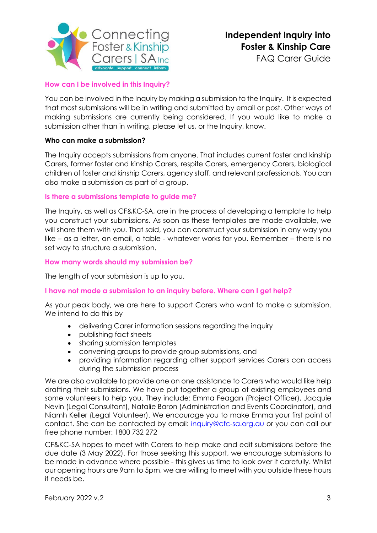

FAQ Carer Guide

# **How can I be involved in this Inquiry?**

You can be involved in the Inquiry by making a submission to the Inquiry. It is expected that most submissions will be in writing and submitted by email or post. Other ways of making submissions are currently being considered. If you would like to make a submission other than in writing, please let us, or the Inquiry, know.

## **Who can make a submission?**

The Inquiry accepts submissions from anyone. That includes current foster and kinship Carers, former foster and kinship Carers, respite Carers, emergency Carers, biological children of foster and kinship Carers, agency staff, and relevant professionals. You can also make a submission as part of a group.

## **Is there a submissions template to guide me?**

The Inquiry, as well as CF&KC-SA, are in the process of developing a template to help you construct your submissions. As soon as these templates are made available, we will share them with you. That said, you can construct your submission in any way you like – as a letter, an email, a table - whatever works for you. Remember – there is no set way to structure a submission.

### **How many words should my submission be?**

The length of your submission is up to you.

## **I have not made a submission to an inquiry before. Where can I get help?**

As your peak body, we are here to support Carers who want to make a submission. We intend to do this by

- delivering Carer information sessions regarding the inquiry
- publishing fact sheets
- sharing submission templates
- convening groups to provide group submissions, and
- providing information regarding other support services Carers can access during the submission process

We are also available to provide one on one assistance to Carers who would like help drafting their submissions. We have put together a group of existing employees and some volunteers to help you. They include: Emma Feagan (Project Officer), Jacquie Nevin (Legal Consultant), Natalie Baron (Administration and Events Coordinator), and Niamh Keller (Legal Volunteer). We encourage you to make Emma your first point of contact. She can be contacted by email: [inquiry@cfc-sa.org.au](mailto:inquiry@cfc-sa.org.au) or you can call our free phone number: 1800 732 272

CF&KC-SA hopes to meet with Carers to help make and edit submissions before the due date (3 May 2022). For those seeking this support, we encourage submissions to be made in advance where possible - this gives us time to look over it carefully. Whilst our opening hours are 9am to 5pm, we are willing to meet with you outside these hours if needs be.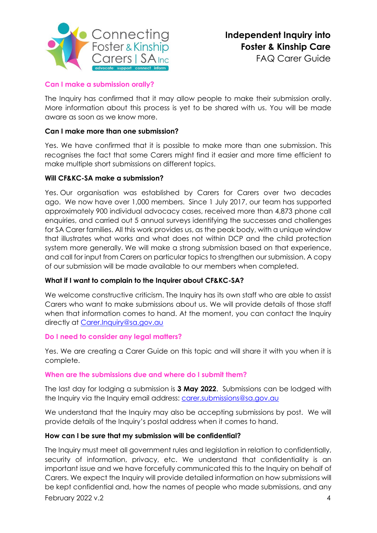

FAQ Carer Guide

## **Can I make a submission orally?**

The Inquiry has confirmed that it may allow people to make their submission orally. More information about this process is yet to be shared with us. You will be made aware as soon as we know more.

### **Can I make more than one submission?**

Yes. We have confirmed that it is possible to make more than one submission. This recognises the fact that some Carers might find it easier and more time efficient to make multiple short submissions on different topics.

### **Will CF&KC-SA make a submission?**

Yes. Our organisation was established by Carers for Carers over two decades ago. We now have over 1,000 members. Since 1 July 2017, our team has supported approximately 900 individual advocacy cases, received more than 4,873 phone call enquiries, and carried out 5 annual surveys identifying the successes and challenges for SA Carer families. All this work provides us, as the peak body, with a unique window that illustrates what works and what does not within DCP and the child protection system more generally. We will make a strong submission based on that experience, and call for input from Carers on particular topics to strengthen our submission. A copy of our submission will be made available to our members when completed.

## **What if I want to complain to the Inquirer about CF&KC-SA?**

We welcome constructive criticism. The Inquiry has its own staff who are able to assist Carers who want to make submissions about us. We will provide details of those staff when that information comes to hand. At the moment, you can contact the Inquiry directly at [Carer.Inquiry@sa.gov.au](mailto:Carer.Inquiry@sa.gov.au)

#### **Do I need to consider any legal matters?**

Yes. We are creating a Carer Guide on this topic and will share it with you when it is complete.

#### **When are the submissions due and where do I submit them?**

The last day for lodging a submission is **3 May 2022**. Submissions can be lodged with the Inquiry via the Inquiry email address: [carer.submissions@sa.gov.au](mailto:carer.submissions@sa.gov.au)

We understand that the Inquiry may also be accepting submissions by post. We will provide details of the Inquiry's postal address when it comes to hand.

#### **How can I be sure that my submission will be confidential?**

February 2022 v.2 4 The Inquiry must meet all government rules and legislation in relation to confidentially, security of information, privacy, etc. We understand that confidentiality is an important issue and we have forcefully communicated this to the Inquiry on behalf of Carers. We expect the Inquiry will provide detailed information on how submissions will be kept confidential and, how the names of people who made submissions, and any